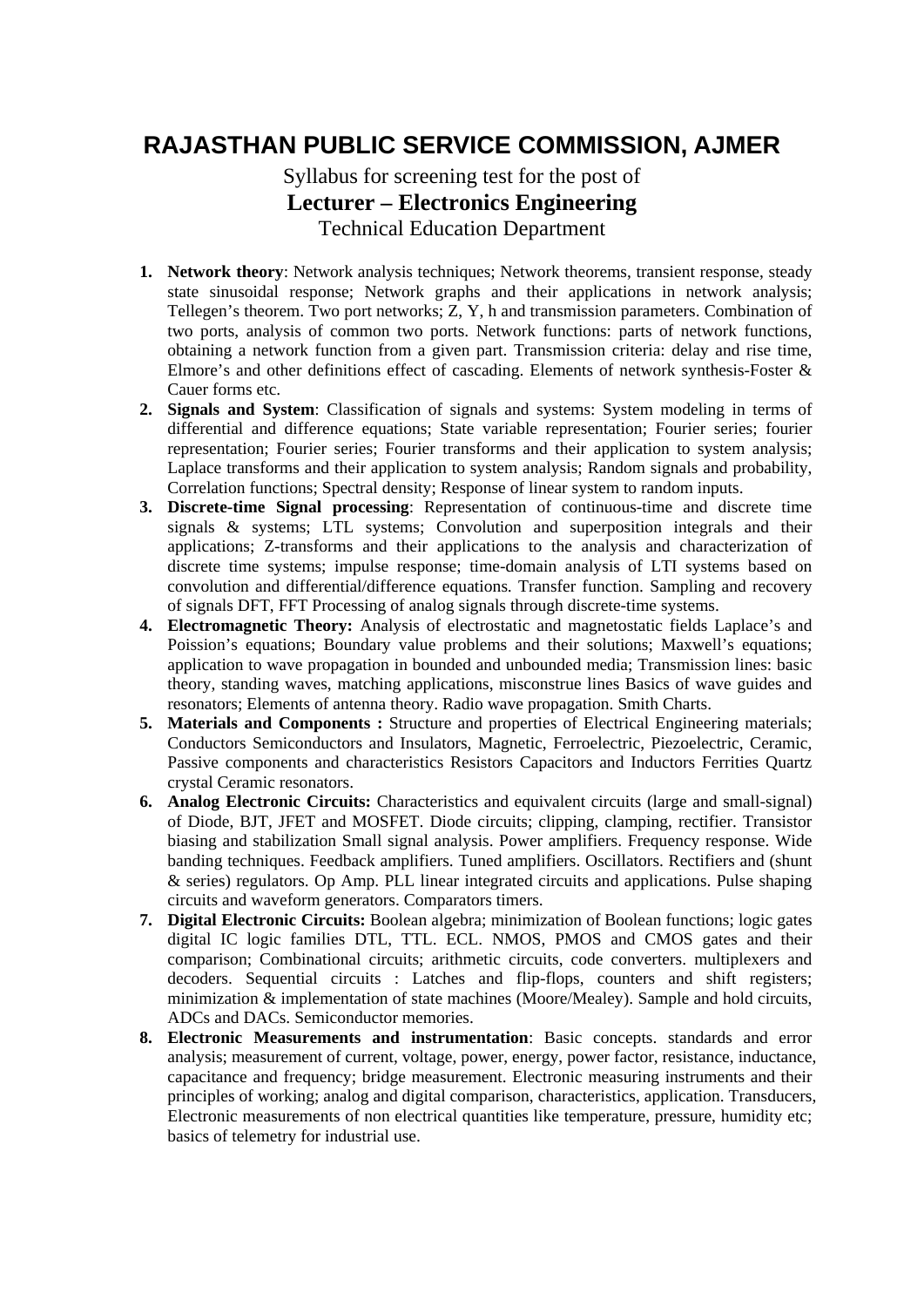## **RAJASTHAN PUBLIC SERVICE COMMISSION, AJMER**

## Syllabus for screening test for the post of **Lecturer – Electronics Engineering**  Technical Education Department

- **1. Network theory**: Network analysis techniques; Network theorems, transient response, steady state sinusoidal response; Network graphs and their applications in network analysis; Tellegen's theorem. Two port networks; Z, Y, h and transmission parameters. Combination of two ports, analysis of common two ports. Network functions: parts of network functions, obtaining a network function from a given part. Transmission criteria: delay and rise time, Elmore's and other definitions effect of cascading. Elements of network synthesis-Foster & Cauer forms etc.
- **2. Signals and System**: Classification of signals and systems: System modeling in terms of differential and difference equations; State variable representation; Fourier series; fourier representation; Fourier series; Fourier transforms and their application to system analysis; Laplace transforms and their application to system analysis; Random signals and probability, Correlation functions; Spectral density; Response of linear system to random inputs.
- **3. Discrete-time Signal processing**: Representation of continuous-time and discrete time signals & systems; LTL systems; Convolution and superposition integrals and their applications; Z-transforms and their applications to the analysis and characterization of discrete time systems; impulse response; time-domain analysis of LTI systems based on convolution and differential/difference equations. Transfer function. Sampling and recovery of signals DFT, FFT Processing of analog signals through discrete-time systems.
- **4. Electromagnetic Theory:** Analysis of electrostatic and magnetostatic fields Laplace's and Poission's equations; Boundary value problems and their solutions; Maxwell's equations; application to wave propagation in bounded and unbounded media; Transmission lines: basic theory, standing waves, matching applications, misconstrue lines Basics of wave guides and resonators; Elements of antenna theory. Radio wave propagation. Smith Charts.
- **5. Materials and Components :** Structure and properties of Electrical Engineering materials; Conductors Semiconductors and Insulators, Magnetic, Ferroelectric, Piezoelectric, Ceramic, Passive components and characteristics Resistors Capacitors and Inductors Ferrities Quartz crystal Ceramic resonators.
- **6. Analog Electronic Circuits:** Characteristics and equivalent circuits (large and small-signal) of Diode, BJT, JFET and MOSFET. Diode circuits; clipping, clamping, rectifier. Transistor biasing and stabilization Small signal analysis. Power amplifiers. Frequency response. Wide banding techniques. Feedback amplifiers. Tuned amplifiers. Oscillators. Rectifiers and (shunt & series) regulators. Op Amp. PLL linear integrated circuits and applications. Pulse shaping circuits and waveform generators. Comparators timers.
- **7. Digital Electronic Circuits:** Boolean algebra; minimization of Boolean functions; logic gates digital IC logic families DTL, TTL. ECL. NMOS, PMOS and CMOS gates and their comparison; Combinational circuits; arithmetic circuits, code converters. multiplexers and decoders. Sequential circuits : Latches and flip-flops, counters and shift registers; minimization & implementation of state machines (Moore/Mealey). Sample and hold circuits, ADCs and DACs. Semiconductor memories.
- **8. Electronic Measurements and instrumentation**: Basic concepts. standards and error analysis; measurement of current, voltage, power, energy, power factor, resistance, inductance, capacitance and frequency; bridge measurement. Electronic measuring instruments and their principles of working; analog and digital comparison, characteristics, application. Transducers, Electronic measurements of non electrical quantities like temperature, pressure, humidity etc; basics of telemetry for industrial use.